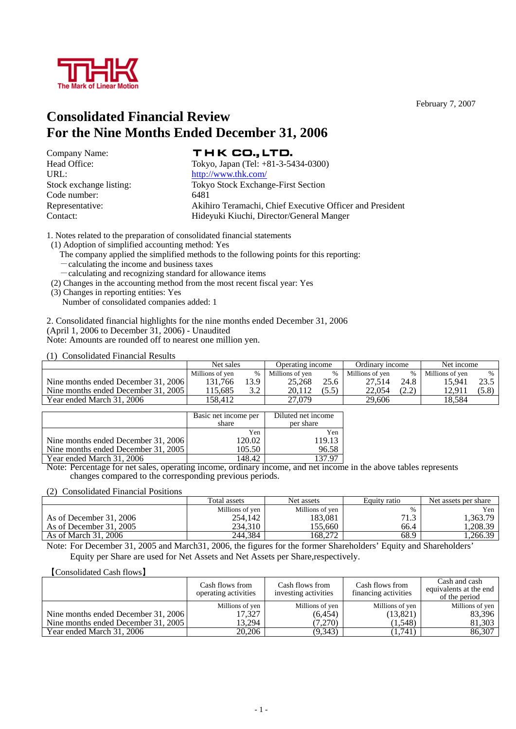

February 7, 2007

# **Consolidated Financial Review For the Nine Months Ended December 31, 2006**

Company Name: Code number: 6481<br>Representative: 6481

# THK CO., LTD.

Head Office: Tokyo, Japan (Tel: +81-3-5434-0300) URL: http://www.thk.com/ Stock exchange listing: Tokyo Stock Exchange-First Section Akihiro Teramachi, Chief Executive Officer and President Contact: Hideyuki Kiuchi, Director/General Manger

1. Notes related to the preparation of consolidated financial statements

- (1) Adoption of simplified accounting method: Yes
	- The company applied the simplified methods to the following points for this reporting:
	- -calculating the income and business taxes
	- -calculating and recognizing standard for allowance items
- (2) Changes in the accounting method from the most recent fiscal year: Yes
- (3) Changes in reporting entities: Yes
	- Number of consolidated companies added: 1

2. Consolidated financial highlights for the nine months ended December 31, 2006 (April 1, 2006 to December 31, 2006) - Unaudited Note: Amounts are rounded off to nearest one million yen.

(1) Consolidated Financial Results

|                                     | Net sales       |     | Operating income  |      | Ordinary income |      | Net income      |               |
|-------------------------------------|-----------------|-----|-------------------|------|-----------------|------|-----------------|---------------|
|                                     | Millions of ven |     | Millions of ven   | $\%$ | Millions of yen |      | Millions of yen | $\frac{0}{0}$ |
| Nine months ended December 31, 2006 | 131.766         | 3.9 | 25.268            | 25.6 | 27.514          | 24.8 | 15.941          |               |
| Nine months ended December 31, 2005 | 115.685         | 3.2 | 20.112            |      | 22,054          | つか   | 12.91           | (5.8)         |
| Year ended March 31, 2006           | 58.412          |     | <sup>27.079</sup> |      | 29.606          |      | 18.584          |               |

|                                     | Basic net income per<br>share | Diluted net income<br>per share |
|-------------------------------------|-------------------------------|---------------------------------|
|                                     | Yen                           | Yen                             |
| Nine months ended December 31, 2006 | 120.02                        | 119.13                          |
| Nine months ended December 31, 2005 | 105.50                        | 96.58                           |
| Year ended March 31, 2006           | 148.42                        | 137.97                          |

Note: Percentage for net sales, operating income, ordinary income, and net income in the above tables represents changes compared to the corresponding previous periods.

(2) Consolidated Financial Positions

|                         | Total assets    | Net assets      | Equity ratio | Net assets per share |
|-------------------------|-----------------|-----------------|--------------|----------------------|
|                         | Millions of ven | Millions of yen |              | Yen                  |
| As of December 31, 2006 | 254,142         | 183.081         | 71 2<br>1.J  | .363.79              |
| As of December 31, 2005 | 234.310         | 155.660         | 66.4         | , 208.39             |
| As of March 31, 2006    | 244,384         | 168.272         | 68.9         | . 266.39             |

Note: For December 31, 2005 and March31, 2006, the figures for the former Shareholders' Equity and Shareholders' Equity per Share are used for Net Assets and Net Assets per Share,respectively.

#### 【Consolidated Cash flows】

|                                     | Cash flows from<br>operating activities | Cash flows from<br>investing activities | Cash flows from<br>financing activities | Cash and cash<br>equivalents at the end<br>of the period |
|-------------------------------------|-----------------------------------------|-----------------------------------------|-----------------------------------------|----------------------------------------------------------|
|                                     | Millions of yen                         | Millions of yen                         | Millions of yen                         | Millions of yen                                          |
| Nine months ended December 31, 2006 | 17.327                                  | (6, 454)                                | (13, 821)                               | 83,396                                                   |
| Nine months ended December 31, 2005 | 13.294                                  | (7,270)                                 | (1,548)                                 | 81,303                                                   |
| Year ended March 31, 2006           | 20,206                                  | (9,343)                                 | (1,741)                                 | 86,307                                                   |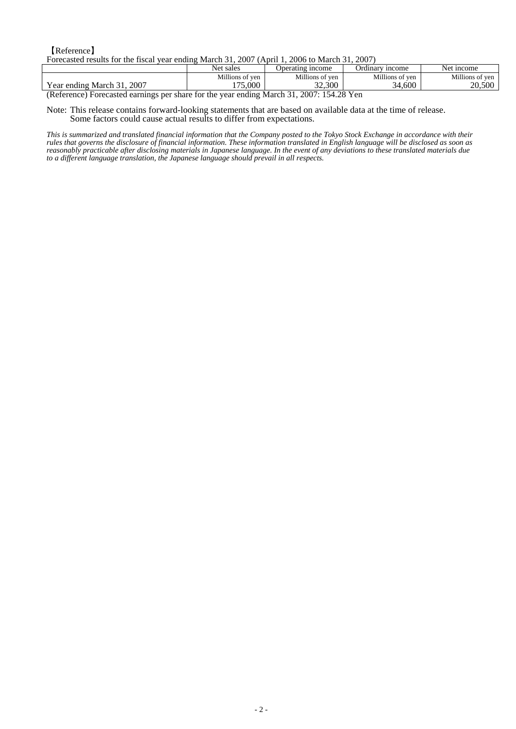【Reference】 Forecasted results for the fiscal year ending March 31, 2007 (April 1, 2006 to March 31, 2007)

|                                                                | Net sales       | Operating income                                                                                             | Ordinary<br><i>n</i> come | <sub>1</sub> ncome<br>Ne |
|----------------------------------------------------------------|-----------------|--------------------------------------------------------------------------------------------------------------|---------------------------|--------------------------|
|                                                                | Millions of ven | Millions of ven                                                                                              | Millions of<br>of ven     | Millions of ven          |
| <b>TT</b><br>2007<br>March<br>ending<br>Y ear                  | 175,000         | 32,300                                                                                                       | 34.600<br>21              | 20.500                   |
| <b>Contract Contract Contract Contract</b><br>$\sim$<br>$\sim$ | . .             | $\bullet \bullet \bullet \bullet = \bullet \bullet \bullet \bullet \bullet \bullet \bullet$<br>$\sim$ $\sim$ |                           |                          |

(Reference) Forecasted earnings per share for the year ending March 31, 2007: 154.28 Yen

Note: This release contains forward-looking statements that are based on available data at the time of release. Some factors could cause actual results to differ from expectations.

*This is summarized and translated financial information that the Company posted to the Tokyo Stock Exchange in accordance with their rules that governs the disclosure of financial information. These information translated in English language will be disclosed as soon as reasonably practicable after disclosing materials in Japanese language. In the event of any deviations to these translated materials due to a different language translation, the Japanese language should prevail in all respects.*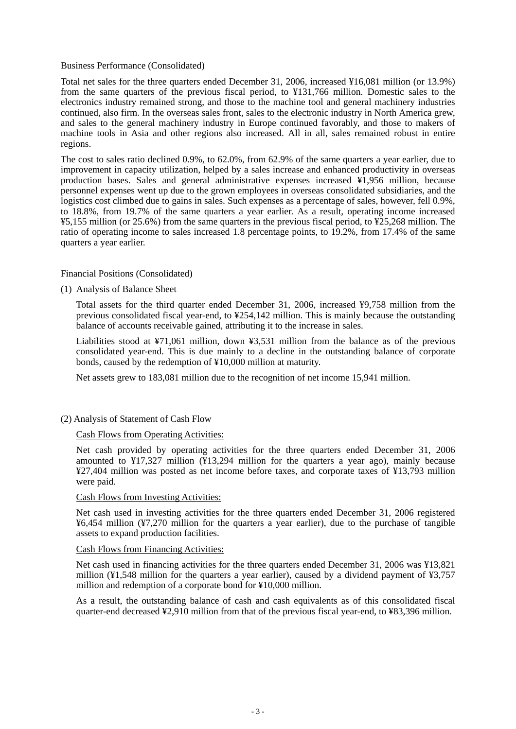#### Business Performance (Consolidated)

Total net sales for the three quarters ended December 31, 2006, increased ¥16,081 million (or 13.9%) from the same quarters of the previous fiscal period, to ¥131,766 million. Domestic sales to the electronics industry remained strong, and those to the machine tool and general machinery industries continued, also firm. In the overseas sales front, sales to the electronic industry in North America grew, and sales to the general machinery industry in Europe continued favorably, and those to makers of machine tools in Asia and other regions also increased. All in all, sales remained robust in entire regions.

The cost to sales ratio declined 0.9%, to 62.0%, from 62.9% of the same quarters a year earlier, due to improvement in capacity utilization, helped by a sales increase and enhanced productivity in overseas production bases. Sales and general administrative expenses increased ¥1,956 million, because personnel expenses went up due to the grown employees in overseas consolidated subsidiaries, and the logistics cost climbed due to gains in sales. Such expenses as a percentage of sales, however, fell 0.9%, to 18.8%, from 19.7% of the same quarters a year earlier. As a result, operating income increased ¥5,155 million (or 25.6%) from the same quarters in the previous fiscal period, to ¥25,268 million. The ratio of operating income to sales increased 1.8 percentage points, to 19.2%, from 17.4% of the same quarters a year earlier.

Financial Positions (Consolidated)

(1) Analysis of Balance Sheet

Total assets for the third quarter ended December 31, 2006, increased ¥9,758 million from the previous consolidated fiscal year-end, to ¥254,142 million. This is mainly because the outstanding balance of accounts receivable gained, attributing it to the increase in sales.

Liabilities stood at ¥71,061 million, down ¥3,531 million from the balance as of the previous consolidated year-end. This is due mainly to a decline in the outstanding balance of corporate bonds, caused by the redemption of ¥10,000 million at maturity.

Net assets grew to 183,081 million due to the recognition of net income 15,941 million.

## (2) Analysis of Statement of Cash Flow

#### Cash Flows from Operating Activities:

Net cash provided by operating activities for the three quarters ended December 31, 2006 amounted to  $\frac{1}{2}$  17,327 million ( $\frac{1}{2}$ 13,294 million for the quarters a year ago), mainly because ¥27,404 million was posted as net income before taxes, and corporate taxes of ¥13,793 million were paid.

### Cash Flows from Investing Activities:

Net cash used in investing activities for the three quarters ended December 31, 2006 registered ¥6,454 million (¥7,270 million for the quarters a year earlier), due to the purchase of tangible assets to expand production facilities.

#### Cash Flows from Financing Activities:

Net cash used in financing activities for the three quarters ended December 31, 2006 was ¥13,821 million  $(41,548)$  million for the quarters a year earlier), caused by a dividend payment of  $(43,757)$ million and redemption of a corporate bond for ¥10,000 million.

As a result, the outstanding balance of cash and cash equivalents as of this consolidated fiscal quarter-end decreased ¥2,910 million from that of the previous fiscal year-end, to ¥83,396 million.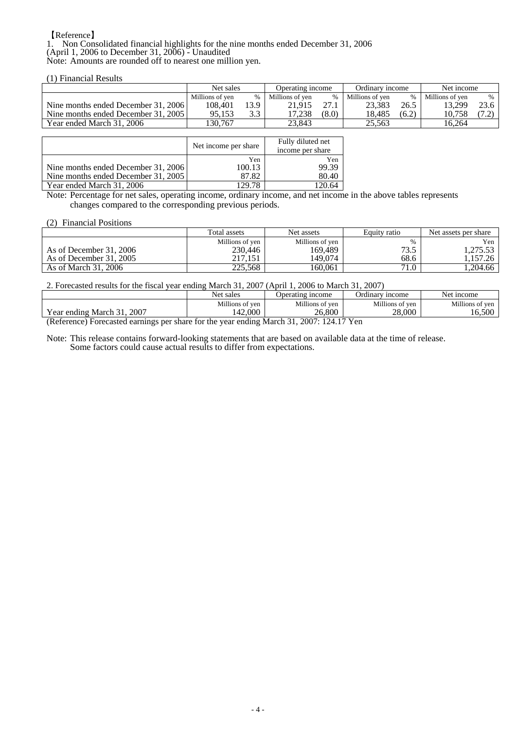### 【Reference】

1. Non Consolidated financial highlights for the nine months ended December 31, 2006 (April 1, 2006 to December 31, 2006) - Unaudited Note: Amounts are rounded off to nearest one million yen.

(1) Financial Results

|                                     | Net sales       |      | Operating income |       | Ordinary income |       | Net income      |               |
|-------------------------------------|-----------------|------|------------------|-------|-----------------|-------|-----------------|---------------|
|                                     | Millions of yen | %    | Millions of ven  | $\%$  | Millions of ven | $\%$  | Millions of yen | $\frac{0}{0}$ |
| Nine months ended December 31, 2006 | 108.401         | 13.9 | 21.915           |       | 23.383          | 26.5  | 13.299          | 23.6          |
| Nine months ended December 31, 2005 | 95.153          | 3.3  | 17.238           | (8.0) | 18.485          | (6.2) | 10.758          |               |
| Year ended March 31, 2006           | 130.767         |      | 23.843           |       | 25.563          |       | 16.264          |               |

|                                                                            | Net income per share   | Fully diluted net<br>income per share |
|----------------------------------------------------------------------------|------------------------|---------------------------------------|
| Nine months ended December 31, 2006<br>Nine months ended December 31, 2005 | Yen<br>100.13<br>87.82 | Yen<br>99.39<br>80.40                 |
| Year ended March 31, 2006                                                  | 129.78                 | 20.64                                 |

Note: Percentage for net sales, operating income, ordinary income, and net income in the above tables represents changes compared to the corresponding previous periods.

#### (2) Financial Positions

|                         | Total assets    | Net assets      | Equity ratio | Net assets per share |  |
|-------------------------|-----------------|-----------------|--------------|----------------------|--|
|                         | Millions of yen | Millions of yen |              | Yen                  |  |
| As of December 31, 2006 | 230,446         | 169.489         | 73.5         | .275.53              |  |
| As of December 31, 2005 | 217.151         | 149.074         | 68.6         | .157.26              |  |
| As of March 31, 2006    | 225.568         | 160.061         | 71.0         | . 204.66             |  |

2. Forecasted results for the fiscal year ending March 31, 2007 (April 1, 2006 to March 31, 2007)

|                                                   | Net<br>sales            | Operating income   | Ordinary income | <sub>1</sub> ncome<br>Net. |  |  |
|---------------------------------------------------|-------------------------|--------------------|-----------------|----------------------------|--|--|
|                                                   | Millions of ven         | Millions<br>of ven | Millions of yen | Millions of yen            |  |  |
| T<br>2007<br>$\sim$<br>Year ending<br>March       | 42.000<br>$\rightarrow$ | 26,800             | 28,000          | $\sim$ 0.0<br>. O.J        |  |  |
| $(D_1, C_2, \ldots, C_n)$<br>0.007.104.17.37<br>. |                         |                    |                 |                            |  |  |

(Reference) Forecasted earnings per share for the year ending March 31, 2007: 124.17 Yen

Note: This release contains forward-looking statements that are based on available data at the time of release. Some factors could cause actual results to differ from expectations.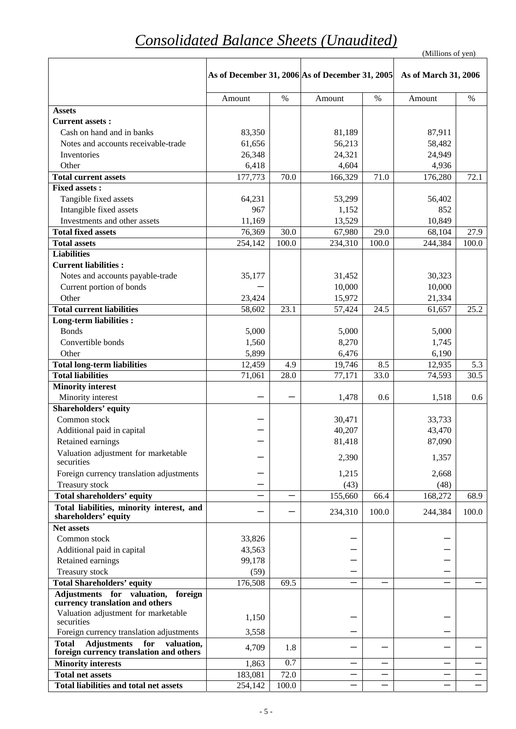| (Millions of yen) |  |
|-------------------|--|
|                   |  |

|                                                                                                    | As of December 31, 2006 As of December 31, 2005 |       |                 |       | As of March 31, 2006 |       |
|----------------------------------------------------------------------------------------------------|-------------------------------------------------|-------|-----------------|-------|----------------------|-------|
|                                                                                                    | Amount                                          | $\%$  | Amount          | $\%$  | Amount               | $\%$  |
| <b>Assets</b>                                                                                      |                                                 |       |                 |       |                      |       |
| <b>Current assets:</b>                                                                             |                                                 |       |                 |       |                      |       |
| Cash on hand and in banks                                                                          | 83,350                                          |       | 81,189          |       | 87,911               |       |
| Notes and accounts receivable-trade                                                                | 61,656                                          |       | 56,213          |       | 58,482               |       |
| Inventories                                                                                        | 26,348                                          |       | 24,321          |       | 24,949               |       |
| Other                                                                                              | 6,418                                           |       | 4,604           |       | 4,936                |       |
| <b>Total current assets</b>                                                                        | 177,773                                         | 70.0  | 166,329         | 71.0  | 176,280              | 72.1  |
| <b>Fixed assets:</b>                                                                               |                                                 |       |                 |       |                      |       |
| Tangible fixed assets                                                                              | 64,231                                          |       | 53,299          |       | 56,402               |       |
| Intangible fixed assets                                                                            | 967                                             |       | 1,152           |       | 852                  |       |
| Investments and other assets                                                                       | 11,169                                          |       | 13,529          |       | 10,849               |       |
| <b>Total fixed assets</b>                                                                          | 76,369                                          | 30.0  | 67,980          | 29.0  | 68,104               | 27.9  |
| <b>Total assets</b>                                                                                | 254,142                                         | 100.0 | 234,310         | 100.0 | 244,384              | 100.0 |
| <b>Liabilities</b>                                                                                 |                                                 |       |                 |       |                      |       |
| <b>Current liabilities:</b>                                                                        |                                                 |       |                 |       |                      |       |
| Notes and accounts payable-trade                                                                   | 35,177                                          |       | 31,452          |       | 30,323               |       |
| Current portion of bonds                                                                           |                                                 |       | 10,000          |       | 10,000               |       |
| Other                                                                                              | 23,424                                          |       | 15,972          |       | 21,334               |       |
| <b>Total current liabilities</b>                                                                   | 58,602                                          | 23.1  | 57,424          | 24.5  | 61,657               | 25.2  |
| <b>Long-term liabilities:</b>                                                                      |                                                 |       |                 |       |                      |       |
| <b>Bonds</b><br>Convertible bonds                                                                  | 5,000                                           |       | 5,000           |       | 5,000                |       |
| Other                                                                                              | 1,560                                           |       | 8,270           |       | 1,745                |       |
| <b>Total long-term liabilities</b>                                                                 | 5,899<br>12,459                                 | 4.9   | 6,476<br>19,746 | 8.5   | 6,190<br>12,935      | 5.3   |
| <b>Total liabilities</b>                                                                           | 71,061                                          | 28.0  | 77,171          | 33.0  | 74,593               | 30.5  |
| <b>Minority interest</b>                                                                           |                                                 |       |                 |       |                      |       |
| Minority interest                                                                                  |                                                 |       | 1,478           | 0.6   | 1,518                | 0.6   |
| Shareholders' equity                                                                               |                                                 |       |                 |       |                      |       |
| Common stock                                                                                       |                                                 |       | 30,471          |       | 33,733               |       |
| Additional paid in capital                                                                         |                                                 |       | 40,207          |       | 43,470               |       |
| Retained earnings                                                                                  |                                                 |       | 81,418          |       | 87,090               |       |
| Valuation adjustment for marketable<br>securities                                                  |                                                 |       | 2,390           |       | 1,357                |       |
| Foreign currency translation adjustments                                                           |                                                 |       | 1,215           |       | 2,668                |       |
| Treasury stock                                                                                     |                                                 |       | (43)            |       | (48)                 |       |
| Total shareholders' equity                                                                         |                                                 |       | 155,660         | 66.4  | 168,272              | 68.9  |
| Total liabilities, minority interest, and<br>shareholders' equity                                  |                                                 |       | 234,310         | 100.0 | 244,384              | 100.0 |
| <b>Net assets</b>                                                                                  |                                                 |       |                 |       |                      |       |
| Common stock                                                                                       | 33,826                                          |       |                 |       |                      |       |
| Additional paid in capital                                                                         | 43,563                                          |       |                 |       |                      |       |
| Retained earnings                                                                                  | 99,178                                          |       |                 |       |                      |       |
| Treasury stock                                                                                     | (59)                                            |       |                 |       |                      |       |
| <b>Total Shareholders' equity</b>                                                                  | 176,508                                         | 69.5  |                 |       |                      |       |
| Adjustments for valuation, foreign<br>currency translation and others                              |                                                 |       |                 |       |                      |       |
| Valuation adjustment for marketable<br>securities                                                  | 1,150                                           |       |                 |       |                      |       |
| Foreign currency translation adjustments                                                           | 3,558                                           |       |                 |       |                      |       |
| <b>Adjustments</b><br><b>Total</b><br>for<br>valuation,<br>foreign currency translation and others | 4,709                                           | 1.8   |                 |       |                      |       |
| <b>Minority interests</b>                                                                          | 1,863                                           | 0.7   |                 |       |                      |       |
| <b>Total net assets</b>                                                                            | 183,081                                         | 72.0  |                 |       |                      |       |
| <b>Total liabilities and total net assets</b>                                                      | 254,142                                         | 100.0 |                 |       |                      |       |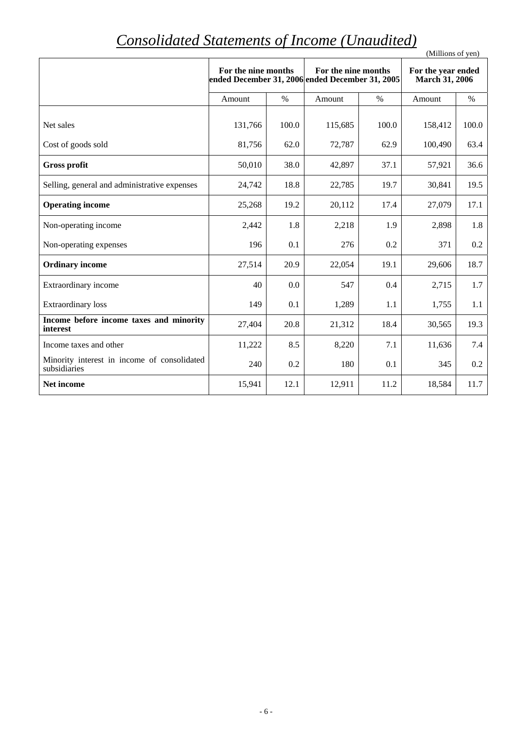# *Consolidated Statements of Income (Unaudited)*

| Consolidated Statements of Income (Ondiality)               |                                                                        |       |                     |       | (Millions of yen)                           |       |
|-------------------------------------------------------------|------------------------------------------------------------------------|-------|---------------------|-------|---------------------------------------------|-------|
|                                                             | For the nine months<br>ended December 31, 2006 ended December 31, 2005 |       | For the nine months |       | For the year ended<br><b>March 31, 2006</b> |       |
|                                                             | Amount                                                                 | $\%$  | Amount              | $\%$  | Amount                                      | $\%$  |
| Net sales                                                   | 131,766                                                                | 100.0 | 115,685             | 100.0 | 158,412                                     | 100.0 |
| Cost of goods sold                                          | 81,756                                                                 | 62.0  | 72,787              | 62.9  | 100,490                                     | 63.4  |
| <b>Gross profit</b>                                         | 50,010                                                                 | 38.0  | 42,897              | 37.1  | 57,921                                      | 36.6  |
| Selling, general and administrative expenses                | 24,742                                                                 | 18.8  | 22,785              | 19.7  | 30,841                                      | 19.5  |
| <b>Operating income</b>                                     | 25,268                                                                 | 19.2  | 20,112              | 17.4  | 27,079                                      | 17.1  |
| Non-operating income                                        | 2,442                                                                  | 1.8   | 2,218               | 1.9   | 2,898                                       | 1.8   |
| Non-operating expenses                                      | 196                                                                    | 0.1   | 276                 | 0.2   | 371                                         | 0.2   |
| <b>Ordinary income</b>                                      | 27,514                                                                 | 20.9  | 22,054              | 19.1  | 29,606                                      | 18.7  |
| Extraordinary income                                        | 40                                                                     | 0.0   | 547                 | 0.4   | 2,715                                       | 1.7   |
| <b>Extraordinary</b> loss                                   | 149                                                                    | 0.1   | 1,289               | 1.1   | 1,755                                       | 1.1   |
| Income before income taxes and minority<br>interest         | 27,404                                                                 | 20.8  | 21,312              | 18.4  | 30,565                                      | 19.3  |
| Income taxes and other                                      | 11,222                                                                 | 8.5   | 8,220               | 7.1   | 11,636                                      | 7.4   |
| Minority interest in income of consolidated<br>subsidiaries | 240                                                                    | 0.2   | 180                 | 0.1   | 345                                         | 0.2   |
| Net income                                                  | 15,941                                                                 | 12.1  | 12,911              | 11.2  | 18,584                                      | 11.7  |